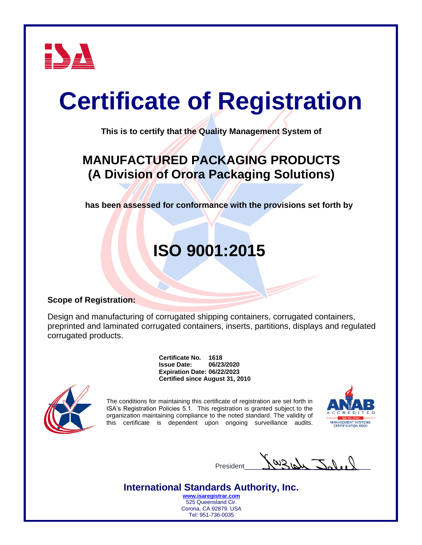

# **Certificate of Registration**

**This is to certify that the Quality Management System of**

### **MANUFACTURED PACKAGING PRODUCTS (A Division of Orora Packaging Solutions)**

**has been assessed for conformance with the provisions set forth by**

## **ISO 9001:2015**

#### **Scope of Registration:**

Design and manufacturing of corrugated shipping containers, corrugated containers, preprinted and laminated corrugated containers, inserts, partitions, displays and regulated corrugated products.

> **Certificate No. 1618 Issue Date: 06/23/2020 Expiration Date: 06/22/2023 Certified since August 31, 2010**



The conditions for maintaining this certificate of registration are set forth in ISA's Registration Policies 5.1. This registration is granted subject to the organization maintaining compliance to the noted standard. The validity of this certificate is dependent upon ongoing surveillance audits.



President  $\mathcal{M}$   $\mathcal{A}$ 

#### **International Standards Authority, Inc.**

**[www.isaregistrar.com](http://www.isaregistrar.com/)** 525 Queensland Cir. Corona, CA 92879. USA Tel: 951-736-0035